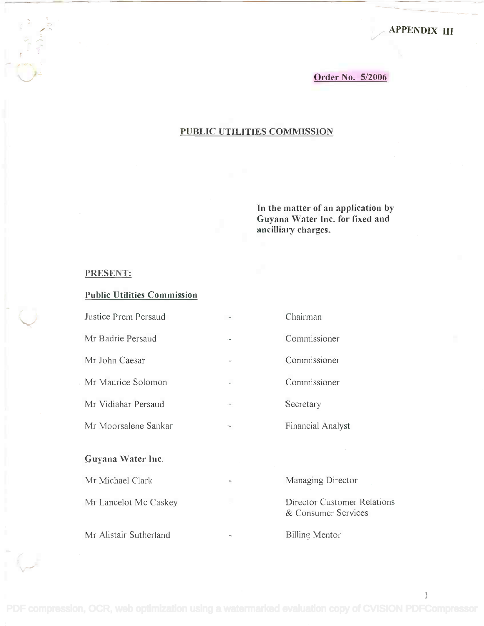APPENDIX III /' APPENDIX **III**

## Order No. 5/2006

/

# PUBLIC UTILITIES COMMISSION

In the matter of an application by **In** the matter of an application by Guyana Water Inc. for fixed and Guyana Water Inc. for fixed and ancilliary charges. ancilliary charges.

#### PRESENT:

### Public Utilities Commission

| Justice Prem Persaud |    | Chairman                 |
|----------------------|----|--------------------------|
| Mr Badrie Persaud    |    | Commissioner             |
| Mr John Caesar       | ÷  | Commissioner             |
| Mr Maurice Solomon   |    | Commissioner             |
| Mr Vidiahar Persaud  | ÷. | Secretary                |
| Mr Moorsalene Sankar |    | <b>Financial Analyst</b> |

### Guyana Water Inc.

| Mr Michael Clark       | ÷ | Managing Director                                  |  |
|------------------------|---|----------------------------------------------------|--|
| Mr Lancelot Mc Caskey  |   | Director Customer Relations<br>& Consumer Services |  |
| Mr Alistair Sutherland |   | Billing Mentor                                     |  |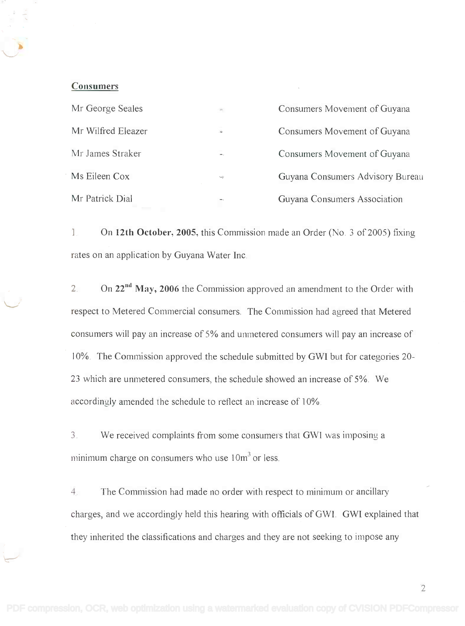#### Consumers

| Mr George Seales   | $\equiv$          | Consumers Movement of Guyana     |
|--------------------|-------------------|----------------------------------|
| Mr Wilfred Eleazer | $\overline{a}$    | Consumers Movement of Guyana     |
| Mr James Straker   | $-\cdot$          | Consumers Movement of Guyana     |
| Ms Eileen Cox      | $-9$              | Guyana Consumers Advisory Bureau |
| Mr Patrick Dial    | $\qquad \qquad -$ | Guyana Consumers Association     |

On 12th October, 2005, this Commission made an Order (No. 3 of 2005) fixing I. On **12th October, 2005,** this Commission made an Order (No 3 of2005) fixing rates on an application by Guyana Water Inc. rates on an application by Guyana Water Inc.

2. On 22" May, 2006 the Commission approved an amendment to the Order with 2. On **22<sup>m</sup> ( May, 2006** the Commission approved an amendment to the Order with respect to Metered Commercial consumers. The Commission had agreed that Metered consumers will pay an increase of 5% and unmetered consumers will pay an increase of 10%. The Commission approved the schedule submitted by GWI but for categories 20- 10% The Commission approved the schedule submitted by GWI but for categories 20- 23 which are unmetered consumers, the schedule showed an increase of 5%. We 23 which are unmetered consumers, the schedule showed an increase of 5%. We accordingly amended the schedule to reflect an increase of 10%. accordingly amended the schedule to reflect an increase of 10%

3. We received complaints from some consumers that GWI was imposing a 3. We received complaints from some consumers that GWI was imposing a minimum charge on consumers who use  $10\text{m}^3$  or less.

4. The Commission had made no order with respect to minimum or ancillary 4. The Commission had made no order with respect to minimum or ancillary charges, and we accordingly held this hearing with officials of GWI. GWI explained that charges, and we accordingly held this hearing with officials of GWI. GWI explained that they inherited the classifications and charges and they are not seeking to impose any they inherited the classifications and charges and they are not seeking to impose any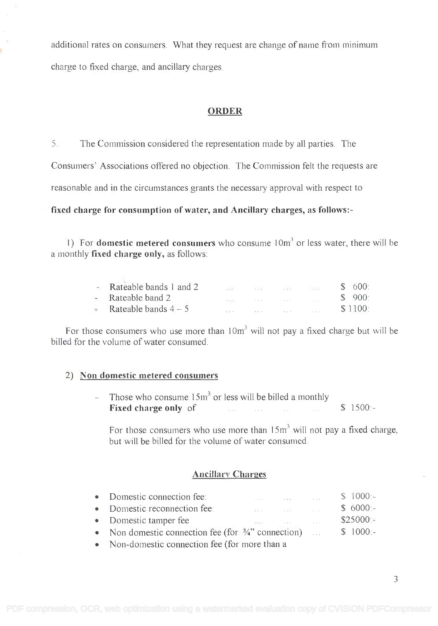additional rates on consumers. What they request are change of name from minimum charge to fixed charge, and ancillary charges.

#### **ORDER**

5. The Commission considered the representation made by all parties. The

Consumers' Associations offered no objection. The Commission felt the requests are

reasonable and in the circumstances grants the necessary approval with respect to

fixed charge for consumption of water, and Ancillary charges, as follows:-

1) For domestic metered consumers who consume 10m3 or less water, there will be 1) For **domestic metered consumers** who consume IOn? or less water, there will be a monthly fixed charge only, as follows: a monthly **fixed charge only,** as follows

|               | - Rateable bands 1 and 2 | 1.1191                                               | 3.2.2                   | <b>Contract</b>     | $-2.37 +$         | \$600:              |
|---------------|--------------------------|------------------------------------------------------|-------------------------|---------------------|-------------------|---------------------|
|               | - Rateable band 2        |                                                      | the contract of the     | control of the con- | <b>CONTRACTOR</b> | \$ 900:             |
| <b>SILLER</b> | Rateable bands $4-5$     | $\mathcal{D} = \mathbf{e} - \mathbf{e}^{\mathrm{T}}$ | $\alpha$ , and $\alpha$ |                     |                   | \$1100 <sup>1</sup> |

For those consumers who use more than  $10m<sup>3</sup>$  will not pay a fixed charge but will be billed for the volume of water consumed. billed for the volume of water consumed.

#### 2) Non domestic metered consumers

 $\sim$  Those who consume 15m<sup>3</sup> or less will be billed a monthly Fixed charge only of \$ 1500:- **Fixed charge only** of \$ 1500-

For those consumers who use more than  $15m<sup>3</sup>$  will not pay a fixed charge, but will be billed for the volume of water consumed. but will be billed for the volume of water consumed.

#### Ancillary Charges

| • Domestic connection fee:                                     |                | $\label{eq:3.1} \mathbf{P}_{\mathbf{r}}\left(\mathbf{r},\mathbf{r}\right)=\mathbf{P}_{\mathbf{r}}\left(\mathbf{r},\mathbf{r}\right)=\mathbf{P}_{\mathbf{r}}\left(\mathbf{r},\mathbf{r}\right)=\mathbf{P}_{\mathbf{r}}\left(\mathbf{r},\mathbf{r}\right)=\mathbf{P}_{\mathbf{r}}\left(\mathbf{r},\mathbf{r}\right)=\mathbf{P}_{\mathbf{r}}\left(\mathbf{r},\mathbf{r}\right)$ | $$1000 -$  |  |
|----------------------------------------------------------------|----------------|------------------------------------------------------------------------------------------------------------------------------------------------------------------------------------------------------------------------------------------------------------------------------------------------------------------------------------------------------------------------------|------------|--|
| • Domestic reconnection fee:                                   |                |                                                                                                                                                                                                                                                                                                                                                                              | $$6000 -$  |  |
| • Domestic tamper fee                                          | <b>SERVICE</b> | $\mathcal{L}^{\mathcal{A}}$ and $\mathcal{L}^{\mathcal{A}}$ . The contract of the contract of                                                                                                                                                                                                                                                                                | $$25000:-$ |  |
| • Non domestic connection fee (for $\frac{3}{4}$ " connection) |                |                                                                                                                                                                                                                                                                                                                                                                              | $$1000:-$  |  |
|                                                                |                |                                                                                                                                                                                                                                                                                                                                                                              |            |  |

• Non-domestic connection fee (for more than a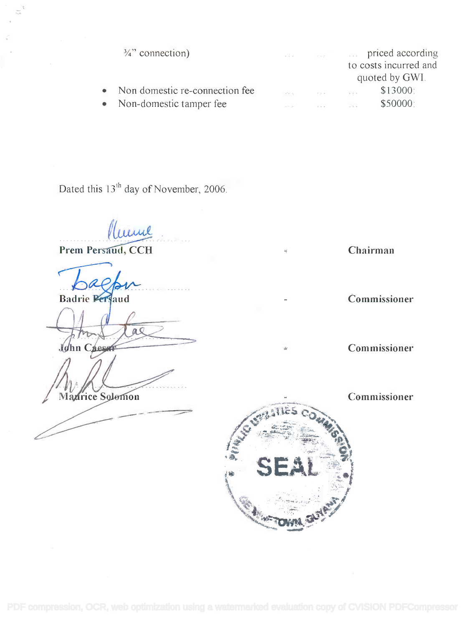| $\frac{3}{4}$ " connection)      | $\alpha$ , and $\beta$ and $\alpha$ , and                   |                       | $\Box$ priced according<br>to costs incurred and |
|----------------------------------|-------------------------------------------------------------|-----------------------|--------------------------------------------------|
|                                  |                                                             |                       | quoted by GWI.                                   |
| • Non domestic re-connection fee | $\mathbf{e}^{\mathbf{e}_1}\mathbf{e}_1\cdots\mathbf{e}_p$ . | contract of the state | \$13000:<br>$\sim$ $\sim$                        |
| • Non-domestic tamper fee        | and the date.                                               |                       | \$50000                                          |

Dated this  $13<sup>th</sup>$  day of November, 2006.

......... " .. <sup>t</sup>*f*. "*~*"'~'

 $Prem$  Persaud, CCH

Badrie Persaud

John Caes

Madrice Solomon



Commissioner

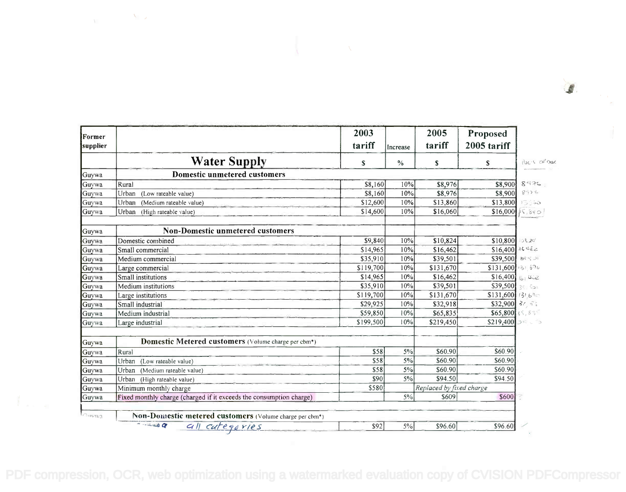| Former<br>supplier |                                                                     | 2003<br>tariff   | Increase      | 2005<br>tariff           | Proposed<br>$2005$ tariff  |                    |
|--------------------|---------------------------------------------------------------------|------------------|---------------|--------------------------|----------------------------|--------------------|
|                    | <b>Water Supply</b>                                                 | $\mathsf{s}$     | $\frac{0}{0}$ | $\mathbb{S}$             | $\mathsf{S}$               | HUC'S ORDER        |
| Guywa              | <b>Domestic unmetered customers</b>                                 |                  |               |                          |                            |                    |
| Guywa              | Rural                                                               | \$8,160          | 10%           | \$8,976                  | \$8,900                    | 8976               |
| Guywa              | Urban<br>(Low rateable value)                                       | \$8,160          | 10%           | \$8,976                  | \$8,900                    | 8526               |
| Guywa              | Urban<br>(Medium rateable value)                                    | \$12,600         | 10%           | \$13,860                 | \$13,800                   | 13350              |
| Guywa              | Urban<br>(High rateable value)                                      | \$14,600         | 10%           | \$16,060                 |                            | $$16,000$ $$5,840$ |
| Guywa              | <b>Non-Domestic unmetered customers</b>                             |                  |               |                          |                            |                    |
| Guywa              | Domestic combined                                                   | \$9,840          | 10%           | \$10,824                 | $$10,800$ 108.24           |                    |
| Guywa              | Small commercial                                                    | \$14,965         | 10%           | \$16,462                 | $$16,400$ $16462$          |                    |
| Guywa              | Medium commercial                                                   | \$35,910         | 10%           | \$39,501                 | \$39,500 3€ 501            |                    |
| Guywa              | Large commercial                                                    | \$119,700        | 10%           | \$131,670                | $$131,600$ $31.570$        |                    |
| Guywa              | Small institutions                                                  | \$14,965         | 10%           | \$16,462                 | $$16,400$ $_{\odot}$ $\mu$ |                    |
| Guywa              | Medium institutions                                                 | \$35,910         | 10%           | \$39,501                 | \$39,500 39.500            |                    |
| Guywa              | Large institutions                                                  | \$119,700        | 10%           | \$131,670                | \$131,600 131,630          |                    |
| Guywa              | Small industrial                                                    | \$29,925         | 10%           | \$32,918                 | $$32,900$ $31.92$          |                    |
| Guywa              | Medium industrial                                                   | \$59,850         | 10%           | \$65,835                 | $$65,800$ 45,83            |                    |
| Guywa              | Large industrial                                                    | \$199,500        | 10%           | \$219,450                | $$219,400$ $$8 > 3$        |                    |
| Guywa              | Domestic Metered customers (Volume charge per cbm*)                 |                  |               |                          |                            |                    |
| Guywa              | <b>Rural</b>                                                        | \$58             | 5%            | \$60.90                  | \$60.90                    |                    |
| Guywa              | Urban<br>(Low rateable value)                                       | \$58             | 5%            | \$60.90                  | \$60.90                    |                    |
| Guywa              | Urban (Medium rateable value)                                       | \$58             | 5%            | \$60.90                  | \$60.90                    |                    |
| Guywa              | Urban (High rateable value)                                         | $\overline{$90}$ | $5\%$         | \$94.50                  | \$94.50                    |                    |
| Guywa              | Minimum monthly charge                                              | \$580            |               | Replaced by fixed charge |                            |                    |
| Guywa              | Fixed monthly charge (charged if it exceeds the consumption charge) |                  | $5\%$         | \$609                    | \$600                      |                    |
| $L_{\rm UUV1}$     | Non-Domestic metered customers (Volume charge per cbm*)             |                  |               |                          |                            |                    |
|                    | O Curios -<br>all cutegories                                        | \$92             | $5\%$         | \$96.60                  | \$96.60                    |                    |

 $\mathcal{I}$ 

 $\mathcal{L} = \{ \mathbf{X}_1, \mathbf{X}_2 \}$ 

 $\chi_{\rm eff}$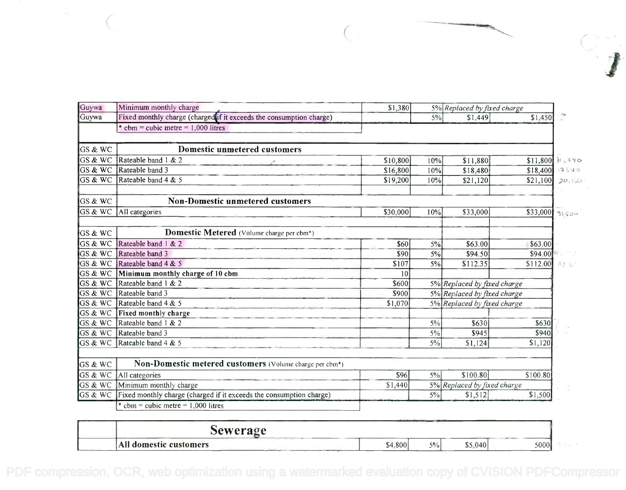| Guywa   | Minimum monthly charge                                              | \$1,380  |       | 5% Replaced by fixed charge |                       |
|---------|---------------------------------------------------------------------|----------|-------|-----------------------------|-----------------------|
| Guywa   | Fixed monthly charge (charged if it exceeds the consumption charge) |          | 5%    | \$1,449                     | \$1,450               |
|         | $cbm = cubic$ metre = 1,000 litres                                  |          |       |                             |                       |
|         |                                                                     |          |       |                             |                       |
| GS & WC | <b>Domestic unmetered customers</b>                                 |          |       |                             |                       |
| GS & WC | Rateable band 1 & 2                                                 | \$10,800 | 10%   | \$11,880                    | \$11,800<br>$H_2$ 340 |
| GS & WC | Rateable band 3                                                     | \$16,800 | 10%   | \$18,480                    | \$18,400              |
| GS & WC | Rateable band 4 & 5                                                 | \$19,200 | 10%   | \$21,120                    | \$21,100              |
| GS & WC | <b>Non-Domestic unmetered customers</b>                             |          |       |                             |                       |
| GS & WC | All categories                                                      | \$30,000 | 10%   | \$33,000                    | \$33,000<br>31500     |
|         |                                                                     |          |       |                             |                       |
| GS & WC | Domestic Metered (Volume charge per cbm*)                           |          |       |                             |                       |
| GS & WC | Rateable band 1 & 2                                                 | \$60     | 5%    | \$63.00                     | \$63.00               |
| GS & WC | Rateable band 3                                                     | \$90     | 5%    | \$94.50                     | \$94.00               |
| GS & WC | Rateable band 4 & 5                                                 | \$107    | 5%    | \$112.35                    | \$112.00              |
| GS & WC | Minimum monthly charge of 10 cbm                                    | 10       |       |                             |                       |
| GS & WC | Rateable band 1 & 2                                                 | \$600    |       | 5% Replaced by fixed charge |                       |
| GS & WC | Rateable band 3                                                     | \$900    |       | 5% Replaced by fixed charge |                       |
| GS & WC | Rateable band 4 & 5                                                 | \$1,070  |       | 5% Replaced by fixed charge |                       |
| GS & WC | <b>Fixed monthly charge</b>                                         |          |       |                             |                       |
| GS & WC | Rateable band 1 & 2                                                 |          | $5\%$ | \$630                       | \$630                 |
| GS & WC | Rateable band 3                                                     |          | 5%    | \$945                       | \$940                 |
| GS & WC | Rateable band 4 & 5                                                 |          | 5%    | \$1,124                     | \$1,120               |
|         |                                                                     |          |       |                             |                       |
| GS & WC | Non-Domestic metered customers (Volume charge per cbm*)             |          |       |                             |                       |
| GS & WC | All categories                                                      | \$96     | $5\%$ | \$100.80                    | \$100.80              |
| GS & WC | Minimum monthly charge                                              | \$1,440  |       | 5% Replaced by fixed charge |                       |
| GS & WC | Fixed monthly charge (charged if it exceeds the consumption charge) |          | $5\%$ | \$1,512                     | \$1,500               |
|         | cbm = cubic metre = $1,000$ litres                                  |          |       |                             |                       |

 $\mathcal{M}_{\mathcal{F}}$ 

| _____ | sewerage               |         |       |         |      |  |
|-------|------------------------|---------|-------|---------|------|--|
|       | All domestic customers | \$4,800 | $5\%$ | \$5.040 | 5000 |  |